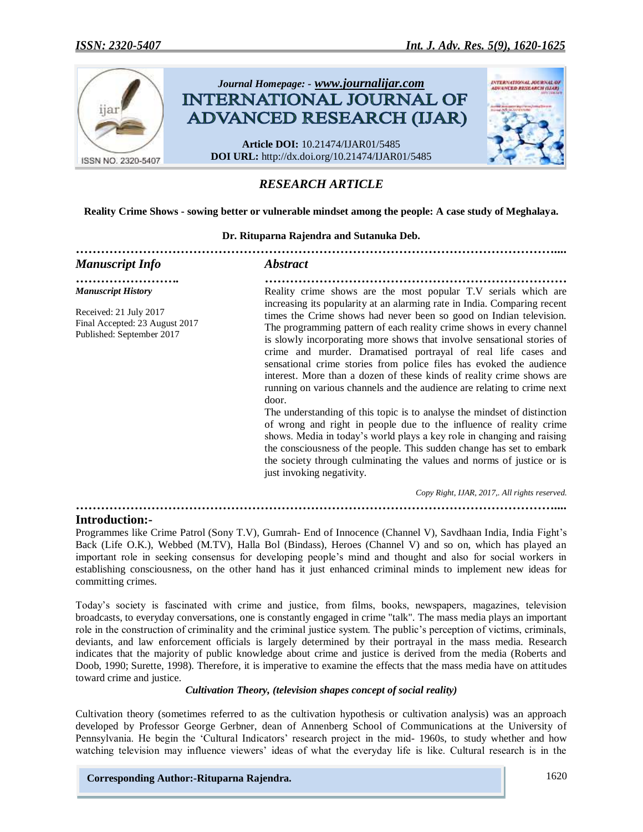

# *RESEARCH ARTICLE*

**Reality Crime Shows - sowing better or vulnerable mindset among the people: A case study of Meghalaya.**

**Dr. Rituparna Rajendra and Sutanuka Deb.**

| <b>Manuscript Info</b>                                                                                             | <i><b>Abstract</b></i>                                                                                                                                                                                                                                                                                                                                                                                                                                                                                                                                                                                                                                                                                                                                                                                                                                                                                                                                                              |
|--------------------------------------------------------------------------------------------------------------------|-------------------------------------------------------------------------------------------------------------------------------------------------------------------------------------------------------------------------------------------------------------------------------------------------------------------------------------------------------------------------------------------------------------------------------------------------------------------------------------------------------------------------------------------------------------------------------------------------------------------------------------------------------------------------------------------------------------------------------------------------------------------------------------------------------------------------------------------------------------------------------------------------------------------------------------------------------------------------------------|
|                                                                                                                    | Reality crime shows are the most popular T.V serials which are                                                                                                                                                                                                                                                                                                                                                                                                                                                                                                                                                                                                                                                                                                                                                                                                                                                                                                                      |
| <b>Manuscript History</b><br>Received: 21 July 2017<br>Final Accepted: 23 August 2017<br>Published: September 2017 | increasing its popularity at an alarming rate in India. Comparing recent<br>times the Crime shows had never been so good on Indian television.<br>The programming pattern of each reality crime shows in every channel<br>is slowly incorporating more shows that involve sensational stories of<br>crime and murder. Dramatised portrayal of real life cases and<br>sensational crime stories from police files has evoked the audience<br>interest. More than a dozen of these kinds of reality crime shows are<br>running on various channels and the audience are relating to crime next<br>door.<br>The understanding of this topic is to analyse the mindset of distinction<br>of wrong and right in people due to the influence of reality crime<br>shows. Media in today's world plays a key role in changing and raising<br>the consciousness of the people. This sudden change has set to embark<br>the society through culminating the values and norms of justice or is |
|                                                                                                                    | just invoking negativity.<br>Copy Right, IJAR, 2017,. All rights reserved.                                                                                                                                                                                                                                                                                                                                                                                                                                                                                                                                                                                                                                                                                                                                                                                                                                                                                                          |

# **Introduction:-**

Programmes like Crime Patrol (Sony T.V), Gumrah- End of Innocence (Channel V), Savdhaan India, India Fight"s Back (Life O.K.), Webbed (M.TV), Halla Bol (Bindass), Heroes (Channel V) and so on, which has played an important role in seeking consensus for developing people"s mind and thought and also for social workers in establishing consciousness, on the other hand has it just enhanced criminal minds to implement new ideas for committing crimes.

Today"s society is fascinated with crime and justice, from films, books, newspapers, magazines, television broadcasts, to everyday conversations, one is constantly engaged in crime "talk". The mass media plays an important role in the construction of criminality and the criminal justice system. The public's perception of victims, criminals, deviants, and law enforcement officials is largely determined by their portrayal in the mass media. Research indicates that the majority of public knowledge about crime and justice is derived from the media (Roberts and Doob, 1990; Surette, 1998). Therefore, it is imperative to examine the effects that the mass media have on attitudes toward crime and justice.

#### *Cultivation Theory, (television shapes concept of social reality)*

Cultivation theory (sometimes referred to as the cultivation hypothesis or cultivation analysis) was an approach developed by Professor George Gerbner, dean of Annenberg School of Communications at the University of Pennsylvania. He begin the "Cultural Indicators" research project in the mid- 1960s, to study whether and how watching television may influence viewers" ideas of what the everyday life is like. Cultural research is in the

**Corresponding Author:-Rituparna Rajendra.**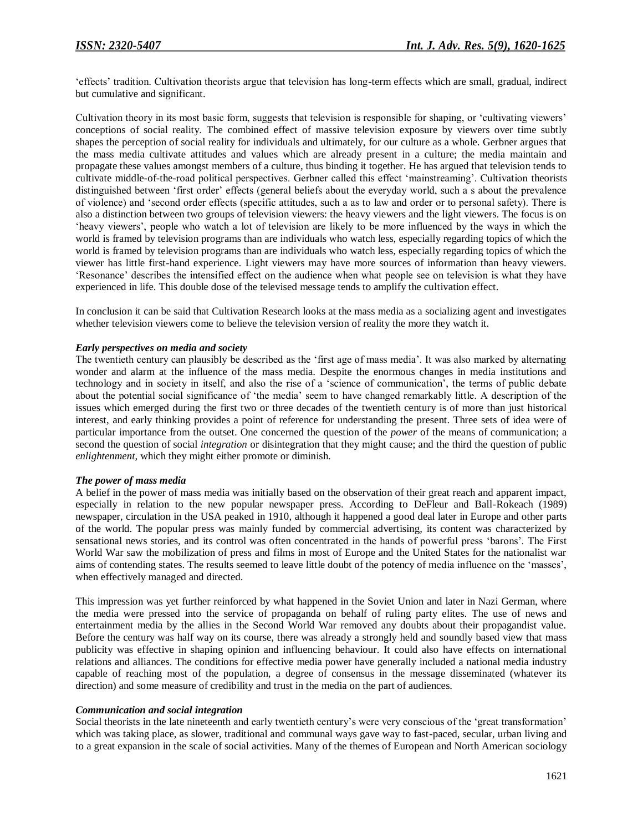"effects" tradition. Cultivation theorists argue that television has long-term effects which are small, gradual, indirect but cumulative and significant.

Cultivation theory in its most basic form, suggests that television is responsible for shaping, or "cultivating viewers" conceptions of social reality. The combined effect of massive television exposure by viewers over time subtly shapes the perception of social reality for individuals and ultimately, for our culture as a whole. Gerbner argues that the mass media cultivate attitudes and values which are already present in a culture; the media maintain and propagate these values amongst members of a culture, thus binding it together. He has argued that television tends to cultivate middle-of-the-road political perspectives. Gerbner called this effect "mainstreaming". Cultivation theorists distinguished between 'first order' effects (general beliefs about the everyday world, such a s about the prevalence of violence) and "second order effects (specific attitudes, such a as to law and order or to personal safety). There is also a distinction between two groups of television viewers: the heavy viewers and the light viewers. The focus is on "heavy viewers", people who watch a lot of television are likely to be more influenced by the ways in which the world is framed by television programs than are individuals who watch less, especially regarding topics of which the world is framed by television programs than are individuals who watch less, especially regarding topics of which the viewer has little first-hand experience. Light viewers may have more sources of information than heavy viewers. "Resonance" describes the intensified effect on the audience when what people see on television is what they have experienced in life. This double dose of the televised message tends to amplify the cultivation effect.

In conclusion it can be said that Cultivation Research looks at the mass media as a socializing agent and investigates whether television viewers come to believe the television version of reality the more they watch it.

### *Early perspectives on media and society*

The twentieth century can plausibly be described as the "first age of mass media". It was also marked by alternating wonder and alarm at the influence of the mass media. Despite the enormous changes in media institutions and technology and in society in itself, and also the rise of a "science of communication", the terms of public debate about the potential social significance of "the media" seem to have changed remarkably little. A description of the issues which emerged during the first two or three decades of the twentieth century is of more than just historical interest, and early thinking provides a point of reference for understanding the present. Three sets of idea were of particular importance from the outset. One concerned the question of the *power* of the means of communication; a second the question of social *integration* or disintegration that they might cause; and the third the question of public *enlightenment*, which they might either promote or diminish.

#### *The power of mass media*

A belief in the power of mass media was initially based on the observation of their great reach and apparent impact, especially in relation to the new popular newspaper press. According to DeFleur and Ball-Rokeach (1989) newspaper, circulation in the USA peaked in 1910, although it happened a good deal later in Europe and other parts of the world. The popular press was mainly funded by commercial advertising, its content was characterized by sensational news stories, and its control was often concentrated in the hands of powerful press "barons". The First World War saw the mobilization of press and films in most of Europe and the United States for the nationalist war aims of contending states. The results seemed to leave little doubt of the potency of media influence on the "masses", when effectively managed and directed.

This impression was yet further reinforced by what happened in the Soviet Union and later in Nazi German, where the media were pressed into the service of propaganda on behalf of ruling party elites. The use of news and entertainment media by the allies in the Second World War removed any doubts about their propagandist value. Before the century was half way on its course, there was already a strongly held and soundly based view that mass publicity was effective in shaping opinion and influencing behaviour. It could also have effects on international relations and alliances. The conditions for effective media power have generally included a national media industry capable of reaching most of the population, a degree of consensus in the message disseminated (whatever its direction) and some measure of credibility and trust in the media on the part of audiences.

# *Communication and social integration*

Social theorists in the late nineteenth and early twentieth century's were very conscious of the 'great transformation' which was taking place, as slower, traditional and communal ways gave way to fast-paced, secular, urban living and to a great expansion in the scale of social activities. Many of the themes of European and North American sociology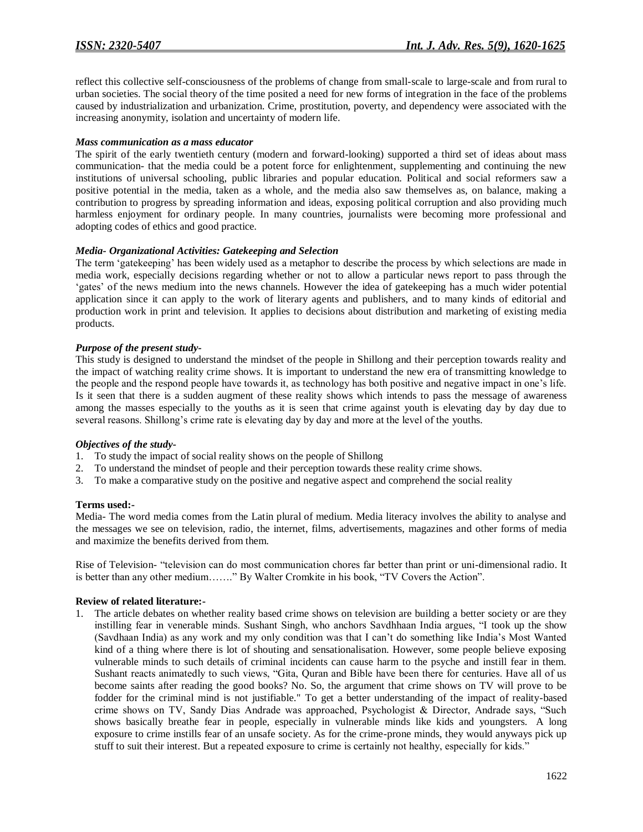reflect this collective self-consciousness of the problems of change from small-scale to large-scale and from rural to urban societies. The social theory of the time posited a need for new forms of integration in the face of the problems caused by industrialization and urbanization. Crime, prostitution, poverty, and dependency were associated with the increasing anonymity, isolation and uncertainty of modern life.

### *Mass communication as a mass educator*

The spirit of the early twentieth century (modern and forward-looking) supported a third set of ideas about mass communication- that the media could be a potent force for enlightenment, supplementing and continuing the new institutions of universal schooling, public libraries and popular education. Political and social reformers saw a positive potential in the media, taken as a whole, and the media also saw themselves as, on balance, making a contribution to progress by spreading information and ideas, exposing political corruption and also providing much harmless enjoyment for ordinary people. In many countries, journalists were becoming more professional and adopting codes of ethics and good practice.

#### *Media- Organizational Activities: Gatekeeping and Selection*

The term "gatekeeping" has been widely used as a metaphor to describe the process by which selections are made in media work, especially decisions regarding whether or not to allow a particular news report to pass through the "gates" of the news medium into the news channels. However the idea of gatekeeping has a much wider potential application since it can apply to the work of literary agents and publishers, and to many kinds of editorial and production work in print and television. It applies to decisions about distribution and marketing of existing media products.

#### *Purpose of the present study-*

This study is designed to understand the mindset of the people in Shillong and their perception towards reality and the impact of watching reality crime shows. It is important to understand the new era of transmitting knowledge to the people and the respond people have towards it, as technology has both positive and negative impact in one"s life. Is it seen that there is a sudden augment of these reality shows which intends to pass the message of awareness among the masses especially to the youths as it is seen that crime against youth is elevating day by day due to several reasons. Shillong's crime rate is elevating day by day and more at the level of the youths.

#### *Objectives of the study-*

- 1. To study the impact of social reality shows on the people of Shillong
- 2. To understand the mindset of people and their perception towards these reality crime shows.
- 3. To make a comparative study on the positive and negative aspect and comprehend the social reality

#### **Terms used:-**

Media- The word media comes from the Latin plural of medium. Media literacy involves the ability to analyse and the messages we see on television, radio, the internet, films, advertisements, magazines and other forms of media and maximize the benefits derived from them.

Rise of Television- "television can do most communication chores far better than print or uni-dimensional radio. It is better than any other medium……." By Walter Cromkite in his book, "TV Covers the Action".

# **Review of related literature:-**

1. The article debates on whether reality based crime shows on television are building a better society or are they instilling fear in venerable minds. Sushant Singh, who anchors Savdhhaan India argues, "I took up the show (Savdhaan India) as any work and my only condition was that I can"t do something like India"s Most Wanted kind of a thing where there is lot of shouting and sensationalisation. However, some people believe exposing vulnerable minds to such details of criminal incidents can cause harm to the psyche and instill fear in them. Sushant reacts animatedly to such views, "Gita, Quran and Bible have been there for centuries. Have all of us become saints after reading the good books? No. So, the argument that crime shows on TV will prove to be fodder for the criminal mind is not justifiable." To get a better understanding of the impact of reality-based crime shows on TV, Sandy Dias Andrade was approached, Psychologist & Director, Andrade says, "Such shows basically breathe fear in people, especially in vulnerable minds like kids and youngsters. A long exposure to crime instills fear of an unsafe society. As for the crime-prone minds, they would anyways pick up stuff to suit their interest. But a repeated exposure to crime is certainly not healthy, especially for kids."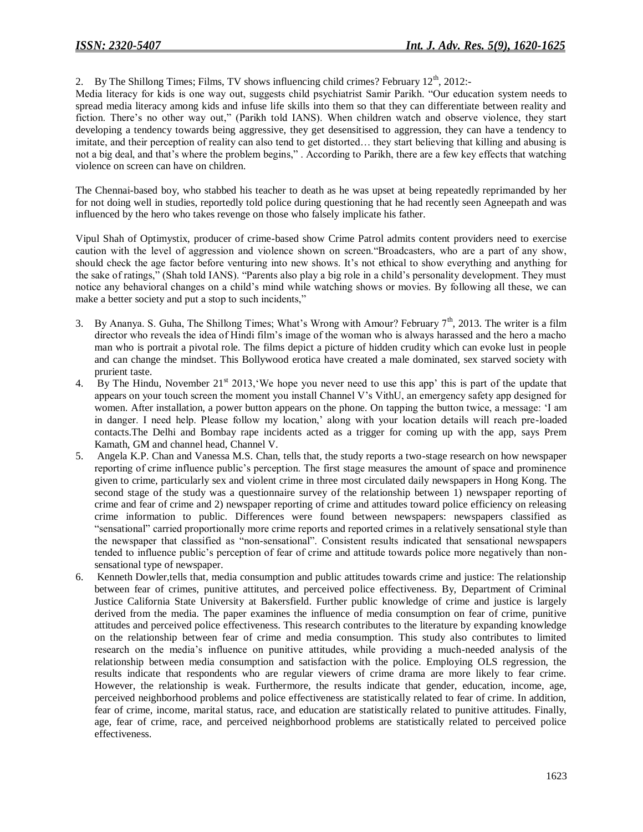2. By The Shillong Times; Films, TV shows influencing child crimes? February  $12<sup>th</sup>$ , 2012:-

Media literacy for kids is one way out, suggests child psychiatrist Samir Parikh. "Our education system needs to spread media literacy among kids and infuse life skills into them so that they can differentiate between reality and fiction. There"s no other way out," (Parikh told IANS). When children watch and observe violence, they start developing a tendency towards being aggressive, they get desensitised to aggression, they can have a tendency to imitate, and their perception of reality can also tend to get distorted... they start believing that killing and abusing is not a big deal, and that"s where the problem begins," . According to Parikh, there are a few key effects that watching violence on screen can have on children.

The Chennai-based boy, who stabbed his teacher to death as he was upset at being repeatedly reprimanded by her for not doing well in studies, reportedly told police during questioning that he had recently seen Agneepath and was influenced by the hero who takes revenge on those who falsely implicate his father.

Vipul Shah of Optimystix, producer of crime-based show Crime Patrol admits content providers need to exercise caution with the level of aggression and violence shown on screen."Broadcasters, who are a part of any show, should check the age factor before venturing into new shows. It"s not ethical to show everything and anything for the sake of ratings," (Shah told IANS). "Parents also play a big role in a child"s personality development. They must notice any behavioral changes on a child"s mind while watching shows or movies. By following all these, we can make a better society and put a stop to such incidents,"

- 3. By Ananya. S. Guha, The Shillong Times; What's Wrong with Amour? February  $7<sup>th</sup>$ , 2013. The writer is a film director who reveals the idea of Hindi film"s image of the woman who is always harassed and the hero a macho man who is portrait a pivotal role. The films depict a picture of hidden crudity which can evoke lust in people and can change the mindset. This Bollywood erotica have created a male dominated, sex starved society with prurient taste.
- 4. By The Hindu, November  $21<sup>st</sup> 2013$ , We hope you never need to use this app' this is part of the update that appears on your touch screen the moment you install Channel V"s VithU, an emergency safety app designed for women. After installation, a power button appears on the phone. On tapping the button twice, a message: "I am in danger. I need help. Please follow my location," along with your location details will reach pre-loaded contacts.The Delhi and Bombay rape incidents acted as a trigger for coming up with the app, says Prem Kamath, GM and channel head, Channel V.
- 5. Angela K.P. Chan and Vanessa M.S. Chan, tells that, the study reports a two-stage research on how newspaper reporting of crime influence public"s perception. The first stage measures the amount of space and prominence given to crime, particularly sex and violent crime in three most circulated daily newspapers in Hong Kong. The second stage of the study was a questionnaire survey of the relationship between 1) newspaper reporting of crime and fear of crime and 2) newspaper reporting of crime and attitudes toward police efficiency on releasing crime information to public. Differences were found between newspapers: newspapers classified as "sensational" carried proportionally more crime reports and reported crimes in a relatively sensational style than the newspaper that classified as "non-sensational". Consistent results indicated that sensational newspapers tended to influence public"s perception of fear of crime and attitude towards police more negatively than nonsensational type of newspaper.
- 6. Kenneth Dowler,tells that, media consumption and public attitudes towards crime and justice: The relationship between fear of crimes, punitive attitutes, and perceived police effectiveness. By, Department of Criminal Justice California State University at Bakersfield. Further public knowledge of crime and justice is largely derived from the media. The paper examines the influence of media consumption on fear of crime, punitive attitudes and perceived police effectiveness. This research contributes to the literature by expanding knowledge on the relationship between fear of crime and media consumption. This study also contributes to limited research on the media"s influence on punitive attitudes, while providing a much-needed analysis of the relationship between media consumption and satisfaction with the police. Employing OLS regression, the results indicate that respondents who are regular viewers of crime drama are more likely to fear crime. However, the relationship is weak. Furthermore, the results indicate that gender, education, income, age, perceived neighborhood problems and police effectiveness are statistically related to fear of crime. In addition, fear of crime, income, marital status, race, and education are statistically related to punitive attitudes. Finally, age, fear of crime, race, and perceived neighborhood problems are statistically related to perceived police effectiveness.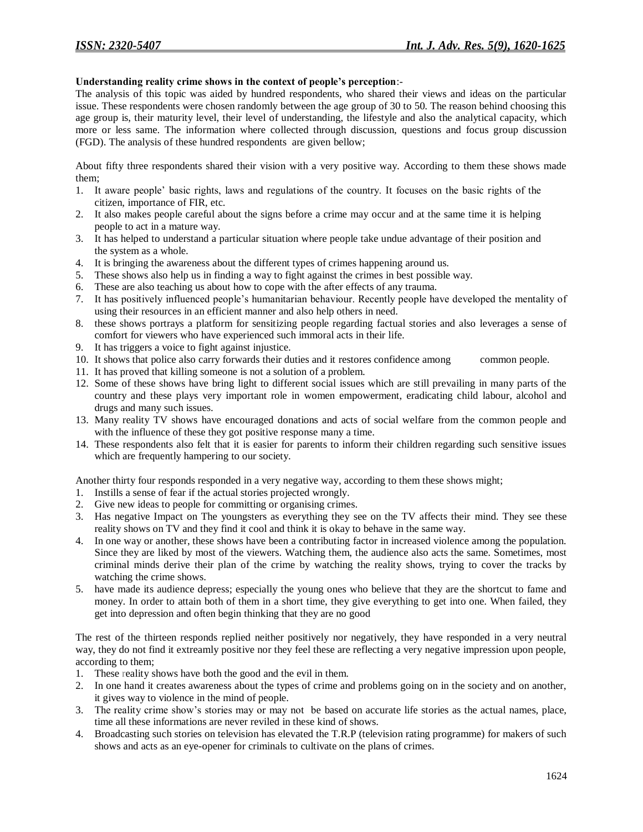# **Understanding reality crime shows in the context of people's perception**:-

The analysis of this topic was aided by hundred respondents, who shared their views and ideas on the particular issue. These respondents were chosen randomly between the age group of 30 to 50. The reason behind choosing this age group is, their maturity level, their level of understanding, the lifestyle and also the analytical capacity, which more or less same. The information where collected through discussion, questions and focus group discussion (FGD). The analysis of these hundred respondents are given bellow;

About fifty three respondents shared their vision with a very positive way. According to them these shows made them;

- 1. It aware people" basic rights, laws and regulations of the country. It focuses on the basic rights of the citizen, importance of FIR, etc.
- 2. It also makes people careful about the signs before a crime may occur and at the same time it is helping people to act in a mature way.
- 3. It has helped to understand a particular situation where people take undue advantage of their position and the system as a whole.
- 4. It is bringing the awareness about the different types of crimes happening around us.
- 5. These shows also help us in finding a way to fight against the crimes in best possible way.
- 6. These are also teaching us about how to cope with the after effects of any trauma.
- 7. It has positively influenced people"s humanitarian behaviour. Recently people have developed the mentality of using their resources in an efficient manner and also help others in need.
- 8. these shows portrays a platform for sensitizing people regarding factual stories and also leverages a sense of comfort for viewers who have experienced such immoral acts in their life.
- 9. It has triggers a voice to fight against injustice.
- 10. It shows that police also carry forwards their duties and it restores confidence among common people.
- 11. It has proved that killing someone is not a solution of a problem.
- 12. Some of these shows have bring light to different social issues which are still prevailing in many parts of the country and these plays very important role in women empowerment, eradicating child labour, alcohol and drugs and many such issues.
- 13. Many reality TV shows have encouraged donations and acts of social welfare from the common people and with the influence of these they got positive response many a time.
- 14. These respondents also felt that it is easier for parents to inform their children regarding such sensitive issues which are frequently hampering to our society.

Another thirty four responds responded in a very negative way, according to them these shows might;

- 1. Instills a sense of fear if the actual stories projected wrongly.
- 2. Give new ideas to people for committing or organising crimes.
- 3. Has negative Impact on The youngsters as everything they see on the TV affects their mind. They see these reality shows on TV and they find it cool and think it is okay to behave in the same way.
- 4. In one way or another, these shows have been a contributing factor in increased violence among the population. Since they are liked by most of the viewers. Watching them, the audience also acts the same. Sometimes, most criminal minds derive their plan of the crime by watching the reality shows, trying to cover the tracks by watching the crime shows.
- 5. have made its audience depress; especially the young ones who believe that they are the shortcut to fame and money. In order to attain both of them in a short time, they give everything to get into one. When failed, they get into depression and often begin thinking that they are no good

The rest of the thirteen responds replied neither positively nor negatively, they have responded in a very neutral way, they do not find it extreamly positive nor they feel these are reflecting a very negative impression upon people, according to them;

- 1. These reality shows have both the good and the evil in them.
- 2. In one hand it creates awareness about the types of crime and problems going on in the society and on another, it gives way to violence in the mind of people.
- 3. The reality crime show"s stories may or may not be based on accurate life stories as the actual names, place, time all these informations are never reviled in these kind of shows.
- 4. Broadcasting such stories on television has elevated the T.R.P (television rating programme) for makers of such shows and acts as an eye-opener for criminals to cultivate on the plans of crimes.